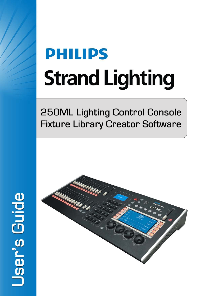# **PHILIPS Strand Lighting**

# **250ML Lighting Control Console Fixture Library Creator Software**



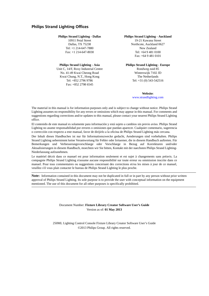#### <span id="page-1-0"></span>**Philips Strand Lighting Offices**

**Philips Strand Lighting - Dallas** 10911 Petal Street Dallas, TX 75238 Tel: +1 214-647-7880 Fax: +1 214-647-8030

**Philips Strand Lighting - Asia** Unit C, 14/F, Roxy Industrial Centre No. 41-49 Kwai Cheong Road Kwai Chung, N.T., Hong Kong Tel: +852 2796 9786 Fax: +852 2798 6545

**Philips Strand Lighting - Auckland**

19-21 Kawana Street Northcote, Auckland 0627 New Zealand Tel: +64 9 481 0100 Fax: +64 9 481 0101

**Philips Strand Lighting - Europe** Rondweg zuid 85 Winterswijk 7102 JD The Netherlands Tel: +31 (0) 543-542516

> **Website**: [www.strandlighting.com](http://www.strandlighting.com)

The material in this manual is for information purposes only and is subject to change without notice. Philips Strand Lighting assumes no responsibility for any errors or omissions which may appear in this manual. For comments and suggestions regarding corrections and/or updates to this manual, please contact your nearest Philips Strand Lighting office.

El contenido de este manual es solamente para información y está sujeto a cambios sin previo aviso. Philips Strand Lighting no asume responsabilidad por errores o omisiones que puedan aparecer. Cualquier comentario, sugerencia o corrección con respecto a este manual, favor de dirijirlo a la oficina de Philips Strand Lighting más cercana.

Der Inhalt dieses Handbuches ist nur für Informationszwecke gedacht, Aenderungen sind vorbehalten. Philips Strand Lighting uebernimmt keine Verantwortung für Fehler oder Irrtuemer, die in diesem Handbuch auftreten. Für Bemerkungen und Verbesserungsvorschlaege oder Vorschlaege in Bezug auf Korrekturen und/oder Aktualisierungen in diesem Handbuch, moechten wir Sie bitten, Kontakt mit der naechsten Philips Strand Lighting-Niederlassung aufzunehmen.

Le matériel décrit dans ce manuel est pour information seulement et est sujet à changements sans préavis. La compagnie Philips Strand Lighting n'assume aucune responsibilité sur toute erreur ou ommission inscrite dans ce manuel. Pour tous commentaires ou suggestions concernant des corrections et/ou les mises à jour de ce manuel, veuillez s'il vous plait contacter le bureau de Philips Strand Lighting le plus proche.

**Note:** Information contained in this document may not be duplicated in full or in part by any person without prior written approval of Philips Strand Lighting. Its sole purpose is to provide the user with conceptual information on the equipment mentioned. The use of this document for all other purposes is specifically prohibited.

> Document Number: **Fixture Library Creator Software User's Guide** Version as of: **01 May 2013**

250ML Lighting Control Console Fixture Library Creator Software User's Guide ©2013 Philips Group. All rights reserved.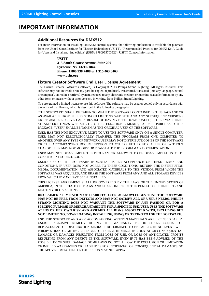## <span id="page-2-0"></span>**IMPORTANT INFORMATION**

#### <span id="page-2-1"></span>**Additional Resources for DMX512**

For more information on installing DMX512 control systems, the following publication is available for purchase from the United States Institute for Theatre Technology (USITT), "Recommended Practice for DMX512: A Guide for Users and Installers, 2nd edition" (ISBN: 9780955703522). USITT Contact Information:

**USITT**

**315 South Crouse Avenue, Suite 200 Syracuse, NY 13210-1844 Phone: 1.800.938.7488 or 1.315.463.6463 www.usitt.org**

#### <span id="page-2-2"></span>**Fixture Creator Software End User License Agreement**

The Fixture Creator Software (software) is Copyright 2013 Philips Strand Lighting. All rights reserved. This software may not, in whole or in any part, be copied, reproduced, transmitted, translated (into any language, natural or computer), stored in a retrieval system, reduced to any electronic medium or machine readable format, or by any other form or means without prior consent, in writing, from Philips Strand Lighting.

You are granted a limited license to use this software. The software may be used or copied only in accordance with the terms of that license, which is described in the following paragraphs.

"THE SOFTWARE" SHALL BE TAKEN TO MEAN THE SOFTWARE CONTAINED IN THIS PACKAGE OR AS AVAILABLE FROM PHILIPS STRAND LIGHTING WEB SITE AND ANY SUBSEQUENT VERSIONS OR UPGRADES RECEIVED AS A RESULT OF HAVING BEEN DOWNLOADED, EITHER VIA PHILIPS STRAND LIGHTING'S WEB SITE OR OTHER ELECTRONIC MEANS, BY USER PURCHASED THIS PACKAGE. "USER" SHALL BE TAKEN AS THE ORIGINAL USER OF THE SOFTWARE.

USER HAS THE NON-EXCLUSIVE RIGHT TO USE THE SOFTWARE ONLY ON A SINGLE COMPUTER. USER MAY NOT ELECTRONICALLY TRANSFER THE PROGRAM FROM ONE COMPUTER TO ANOTHER OVER ANY TYPE OF NETWORK.USER MAY NOT DISTRIBUTE COPIES OF THE SOFTWARE OR THE ACCOMPANYING DOCUMENTATION TO OTHERS EITHER FOR A FEE OR WITHOUT CHARGE. USER MAY NOT MODIFY OR TRANSLATE THE PROGRAM OR DOCUMENTATION.

USER MAY NOT DISASSEMBLE THE PROGRAM OR ALLOW IT TO BE DISASSEMBLED INTO ITS CONSTITUENT SOURCE CODE.

USER'S USE OF THE SOFTWARE INDICATES HIS/HER ACCEPTANCE OF THESE TERMS AND CONDITIONS. IF USER DOES NOT AGREE TO THESE CONDITIONS, RETURN THE DISTRIBUTION MEDIA, DOCUMENTATION, AND ASSOCIATED MATERIALS TO THE VENDOR FROM WHOM THE SOFTWARE WAS ACQUIRED, AND ERASE THE SOFTWARE FROM ANY AND ALL STORAGE DEVICES UPON WHICH IT MAY HAVE BEEN INSTALLED.

THIS LICENSE AGREEMENT SHALL BE GOVERNED BY THE LAWS OF THE UNITED STATES OF AMERICA, IN THE STATE OF TEXAS AND SHALL INURE TO THE BENEFIT OF PHILIPS STRAND LIGHTING OR ITS ASSIGNS.

**DISCLAIMER / LIMITATION OF LIABILITY: USER ACKNOWLEDGES THAT THE SOFTWARE MAY NOT BE FREE FROM DEFECTS AND MAY NOT SATISFY ALL OF USER'S NEEDS. PHILIPS STRAND LIGHTING DOES NOT WARRANT THE SOFTWARE IN ANY FASHION OR FOR A SPECIFIC PURPOSE OR MERCHANTABILITY FOR A SPECIFIC USE. USER USES THE SOFTWARE AT HIS OR HER OWN RISK AND ASSUMES ALL RISKS ASSOCIATED WITH, INCLUDING BUT NOT LIMITED TO, DOWNLOADING, INSTALLING, USING, OR TRYING TO USE THE SOFTWARE.**

USE. THE SOFTWARE AND ANY ACCOMPANYING WRITTEN MATERIALS ARE LICENSED "AS IS". USER'S EXCLUSIVE REMEDY DURING THE WARRANTY PERIOD SHALL CONSIST OF REPLACEMENT OF DISTRIBUTION MEDIA IF DETERMINED TO BE FAULTY. IN NO EVENT WILL PHILIPS STRAND LIGHTING BE LIABLE FOR DIRECT, INDIRECT, INCIDENTAL OR CONSEQUENTIAL DAMAGE OR DAMAGES RESULTING FROM LOSS OF USE, OR LOSS OF ANTICIPATED PROFITS RESULTING FROM ANY DEFECT IN THE SOFTWARE, EVEN IF IT HAS BEEN ADVISED OF THE POSSIBILITY OF SUCH DAMAGE. SOME LAWS DO NOT ALLOW THE EXCLUSION OR LIMITATION OF IMPLIED WARRANTIES OR LIABILITIES FOR INCIDENTAL OR CONSEQUENTIAL DAMAGES, SO THE ABOVE LIMITATIONS OR EXCLUSION MAY NOT APPLY.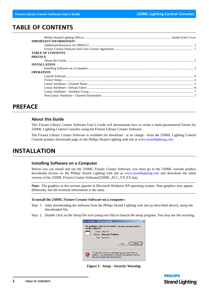## <span id="page-3-0"></span>**TABLE OF CONTENTS**

| <b>IMPORTANT INFORMATION</b> |  |
|------------------------------|--|
|                              |  |
|                              |  |
| <b>TABLE OF CONTENTS</b>     |  |
| <b>PREFACE</b>               |  |
|                              |  |
| <b>INSTALLATION</b>          |  |
|                              |  |
| <b>OPERATION</b>             |  |
|                              |  |
|                              |  |
|                              |  |
|                              |  |
|                              |  |
|                              |  |
|                              |  |

# <span id="page-3-1"></span>**PREFACE**

#### <span id="page-3-2"></span>**About this Guide**

This Fixture Library Creator Software User's Guide will demonstrate how to create a multi-parametered fixture for 250ML Lighting Control Consoles using the Fixture Library Creator Software.

The Fixture Library Creator Software is available for download - at no charge - from the 250ML Lighting Control Console product downloads page on the Philips Strand Lighting web site at [www.strandlighting.com](http://www.strandlighting.com).

# <span id="page-3-3"></span>**INSTALLATION**

#### <span id="page-3-4"></span>**Installing Software on a Computer**

Before you can install and use the 250ML Fixture Creator Software, you must go to the 250ML console product downloads section on the Philips Strand Lighting web site at [www.strandlighting.com](http://www.strandlighting.com) and download the latest version of the 250ML Fixture Creator Software(250ML\_FLC\_VX.XX.zip).

**Note:** The graphics in this section appears in Microsoft Windows XP operating system. Your graphics may appear differently, but the essential information is the same.

#### **To install the 250ML Fixture Creator Software on a computer:**

- Step 1. After downloading the software from the Philips Strand Lighting web site (as described above), unzip the downloaded file.
- Step 2. Double click on the Setup file icon (setup.exe file) to launch the setup program. You may see this warning:



**Figure 1: Setup - Security Warning**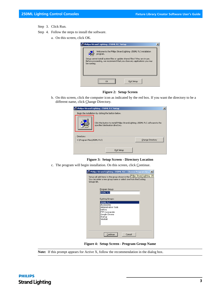- Step 3. Click Run.
- Step 4. Follow the steps to install the software.
	- a. On this screen, click OK.



#### **Figure 2: Setup Screen**

b. On this screen, click the computer icon as indicated by the red box. If you want the directory to be a different name, click Change Directory.

| Republics Strand Lighting -250ML FLC Setup                                                                              |            |                  | $\times$ |  |  |  |
|-------------------------------------------------------------------------------------------------------------------------|------------|------------------|----------|--|--|--|
| Begin the installation by clicking the button below.                                                                    |            |                  |          |  |  |  |
| <br>Click this button to install Philips Strand Lighting -250ML FLC software to the<br>specified destination directory. |            |                  |          |  |  |  |
| Directory:                                                                                                              |            |                  |          |  |  |  |
| C:\Program Files\250ML FLC\                                                                                             |            | Change Directory |          |  |  |  |
|                                                                                                                         | Exit Setup |                  |          |  |  |  |

#### **Figure 3: Setup Screen - Directory Location**

c. The program will begin installation. On this screen, click Continue.

| Philips Strand Lighting -250ML FLC - Choose Program Gr X                                                                                                                     |
|------------------------------------------------------------------------------------------------------------------------------------------------------------------------------|
| Setup will add items to the group shown in the I <mark>Philips Strand Lighting -25(</mark><br>You can enter a new group name or select one from the Existing<br>Groups list. |
| Program Group:<br>250ML FLC                                                                                                                                                  |
| Existing Groups:<br>250ML FLC                                                                                                                                                |
| <b>Accessories</b><br>Administrative Tools<br>Dell Inc.                                                                                                                      |
| <b>FTP Commander</b><br>Google Chrome<br>Startup<br>WinRAR                                                                                                                   |
|                                                                                                                                                                              |
| Cancel<br>Continue                                                                                                                                                           |

**Figure 4: Setup Screen - Program Group Name**

**Note:** If this prompt appears for Active X, follow the recommendation in the dialog box.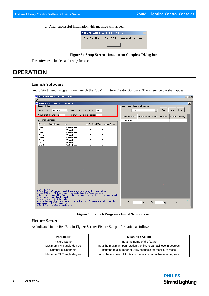d. After successful installation, this message will appear.



**Figure 5: Setup Screen - Installation Complete Dialog box**

The software is loaded and ready for use.

# <span id="page-5-0"></span>**OPERATION**

#### <span id="page-5-1"></span>**Launch Software**

Got to Start menu, Programs and launch the 250ML Fixture Creator Software. The screen below shall appear.

| Eile                  | <mark>uw</mark> Strand 250ML Fixture Lib Creator Ver1.01                                                |                                          |                                                                                                                                                                                                |                 |                                                                         | $   \times$     |
|-----------------------|---------------------------------------------------------------------------------------------------------|------------------------------------------|------------------------------------------------------------------------------------------------------------------------------------------------------------------------------------------------|-----------------|-------------------------------------------------------------------------|-----------------|
|                       | <mark>»</mark> Strand 250ML Fixture Lib Creator Ver1.01                                                 |                                          |                                                                                                                                                                                                |                 |                                                                         | $\vert x \vert$ |
| <b>Fixture Setup-</b> |                                                                                                         |                                          |                                                                                                                                                                                                |                 | <b>Non-Linear Channel Information</b>                                   |                 |
|                       | Fixture Name: New Fixture                                                                               |                                          | Maximum PAN angle degree: 000                                                                                                                                                                  |                 | Channel: Chan 1-<br>$\overline{\phantom{a}}$<br>Add<br>Delete<br>Insert |                 |
|                       | Number of Channels: 8                                                                                   |                                          | Maximum TILT angle degree: 0                                                                                                                                                                   |                 | ChannelSection SectionName<br>Start DMX(0-255)<br>End DMX(0-255)        |                 |
| Channel Information:  |                                                                                                         |                                          |                                                                                                                                                                                                |                 | No Section                                                              |                 |
| Channel               | Channel Name                                                                                            | Type                                     | 16bit CH Default Value                                                                                                                                                                         | Attribute Group |                                                                         |                 |
| Chan 1                |                                                                                                         | LTP 8bit with fade                       | $\mathbf{0}$<br>$\overline{0}$                                                                                                                                                                 |                 |                                                                         |                 |
| Chan 2                |                                                                                                         | LTP 8bit with fade                       | $\overline{0}$<br>$\overline{0}$                                                                                                                                                               |                 |                                                                         |                 |
| Chan 3                |                                                                                                         | LTP 8bit with fade                       | $\overline{0}$<br>0                                                                                                                                                                            |                 |                                                                         |                 |
| Chan 4                |                                                                                                         | LTP 8bit with fade                       | $\overline{0}$<br>O.                                                                                                                                                                           |                 |                                                                         |                 |
| Chan 5<br>Chan 6      |                                                                                                         | LTP 8bit with fade<br>LTP 8bit with fade | $\overline{0}$<br>$\overline{0}$<br>$\overline{0}$<br>$\overline{0}$                                                                                                                           |                 |                                                                         |                 |
| Chan 7                |                                                                                                         | LTP 8bit with fade                       | $\overline{0}$<br>$\overline{0}$                                                                                                                                                               |                 |                                                                         |                 |
| Chan 8                |                                                                                                         | LTP 8bit with fade                       | $\overline{0}$<br>$\overline{0}$                                                                                                                                                               |                 |                                                                         |                 |
|                       |                                                                                                         |                                          |                                                                                                                                                                                                |                 |                                                                         |                 |
| Read before use:      |                                                                                                         |                                          | 1. Channel Name MUST be unique, type H/High or L/Low manually after select the right attribute<br>2.Select 8/16bit of HTP/LTP logic with or without fade for Channels on "Logic type" section. |                 |                                                                         |                 |
|                       | 4. Set the default value as the HOME position.<br>5. Select the group of attribute for this channel.    |                                          | 3. Group the same attibute of High/Low bit on"16bit CH" section. Put the identical channel number on this section.                                                                             |                 |                                                                         |                 |
|                       | specific sections in DMX Value between.<br>7. Click "file" and save fixture as library file format TFF. |                                          | 6.If some of the channels are Not in linear effect,you can define on the "Non-Linear Channel Information"by                                                                                    |                 | From:<br>To:<br>Copy<br>$\blacktriangledown$<br>$\blacktriangledown$    |                 |

**Figure 6: Launch Program - Initial Setup Screen**

#### <span id="page-5-3"></span><span id="page-5-2"></span>**Fixture Setup**

As indicated in the Red Box in **[Figure 6](#page-5-3)**, enter Fixture Setup information as follows:

| <b>Parameter</b>          | <b>Meaning / Action</b>                                             |
|---------------------------|---------------------------------------------------------------------|
| <b>Fixture Name</b>       | Input the name of the fixture                                       |
| Maximum PAN angle degree  | Input the maximum pan rotation the fixture can achieve in degrees.  |
| Number of Channels        | Input the total number of DMX channels for the fixture mode.        |
| Maximum TILT angle degree | Input the maximum tilt rotation the fixture can achieve in degrees. |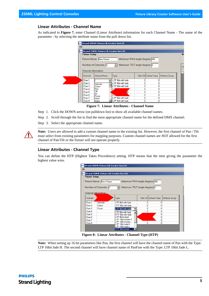#### <span id="page-6-0"></span>**Linear Attributes - Channel Name**

As indicated in **[Figure 7](#page-6-1)**, enter Channel (Linear Attribute) information for each Channel Name - The name of the parameter - by selecting the attribute name from the pull down list.

|                      | <mark>uw:</mark> Strand 250ML Fixture Lib Creator Ver1.01 |                               |   |                        |                 |   |
|----------------------|-----------------------------------------------------------|-------------------------------|---|------------------------|-----------------|---|
| <b>Fixture Setup</b> |                                                           |                               |   |                        |                 | N |
|                      | Fixture Name: New Fixture                                 | Maximum PAN angle degree: 000 |   |                        |                 |   |
|                      | Number of Channels: 8                                     | Maximum TILT angle degree: 0  |   |                        |                 | C |
| Channel Information: |                                                           |                               |   |                        |                 | N |
| Channel              | Channel Name                                              | Type                          |   | 16bit CH Default Value | Attribute Group |   |
| Chan 1               |                                                           | LTP 8bit with fade            | ۵ |                        |                 |   |
| Chan 2               | Intensity                                                 | LTP 8bit with fade            |   |                        |                 |   |
| Chan 3               | Colour                                                    | LTP 8bit with fade            | n |                        |                 |   |
| Chan 4               | Pan                                                       |                               | n | Ω                      |                 |   |
| Chan 5               | Tilt                                                      | de                            | Ω | n                      |                 |   |
|                      | lris                                                      |                               | n | n                      |                 |   |
| Chan 6               |                                                           |                               |   |                        |                 |   |
| Chan 7               | Focus<br>Prism                                            | LTP 8bit with fade            | n |                        |                 |   |

**Figure 7: Linear Attributes - Channel Name**

<span id="page-6-1"></span>Step 1. Click the DOWN arrow (on pulldown list) to show all available channel names.

Step 2. Scroll through the list to find the most appropriate channel name for the defined DMX channel.

Step 3. Select the appropriate channel name.

**Note:** Users are allowed to add a custom channel name to the existing list. However, the first channel of Pan / Tilt must select from existing parameters for mapping purposes. Custom channel names are *NOT* allowed for the first channel of Pan/Tilt or the fixture will not operate properly.

#### **Linear Attributes - Channel Type**

You can define the HTP (Highest Takes Precedence) setting. HTP means that the item giving the parameter the highest value wins.

|      |                                                            | <mark>nue</mark> Strand 250ML Fixture Lib Creator Ver1.01 |                                            |   |                        |                 |  |  |  |  |
|------|------------------------------------------------------------|-----------------------------------------------------------|--------------------------------------------|---|------------------------|-----------------|--|--|--|--|
| Eile |                                                            |                                                           |                                            |   |                        |                 |  |  |  |  |
|      |                                                            | <b>Prov</b> Strand 250ML Fixture Lib Creator Ver1.01      |                                            |   |                        |                 |  |  |  |  |
|      | Fixture Setup                                              |                                                           |                                            |   |                        |                 |  |  |  |  |
|      | Fixture Name: New Fixture<br>Maximum PAN angle degree: 000 |                                                           |                                            |   |                        |                 |  |  |  |  |
|      | Maximum TILT angle degree: 0<br>Number of Channels: 8      |                                                           |                                            |   |                        |                 |  |  |  |  |
|      |                                                            | Channel Infomation:                                       |                                            |   |                        |                 |  |  |  |  |
|      | Channel                                                    |                                                           | Type                                       |   | 16bit CH Default Value | Attribute Group |  |  |  |  |
|      | Chan 1                                                     | Intensity                                                 | LTP 8bit with fade                         | 0 | 0                      |                 |  |  |  |  |
|      | Chan 2                                                     | Colour                                                    | HTP 8bit with fade                         | ٥ | 0                      |                 |  |  |  |  |
|      | Chan 3                                                     | Focus                                                     | LTP 8bit with fade                         | 0 | 0                      |                 |  |  |  |  |
|      | Chan 4                                                     |                                                           | LTP 8bit with fade                         | 0 | $\mathbf{0}$           |                 |  |  |  |  |
|      | Chan 5                                                     |                                                           | HTP 8bit with fade                         |   | 0                      |                 |  |  |  |  |
|      | Chan 6                                                     |                                                           | LTP 8bit instant                           |   | 0                      |                 |  |  |  |  |
|      | Chan 7                                                     |                                                           | LTP 16bit instant H<br>LTP 16bit instant L |   | $\mathbf{0}$           |                 |  |  |  |  |
|      | Chan 8                                                     |                                                           | LTP 16bit fade H                           | 0 | 0                      |                 |  |  |  |  |
|      |                                                            |                                                           | LTP 16bit fade L                           |   |                        |                 |  |  |  |  |
|      |                                                            |                                                           | HTP 8bit instant                           |   |                        |                 |  |  |  |  |
|      |                                                            |                                                           |                                            |   |                        |                 |  |  |  |  |

**Figure 8: Linear Attributes - Channel Type (HTP)**

**Note:** When setting up 16 bit parameters like Pan, the first channel will have the channel name of Pan with the Type: LTP 16bit fade H. The second channel will have channel name of PanFine with the Type: LTP 16bit fade L.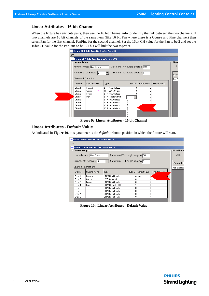#### **Linear Attributes - 16 bit Channel**

When the fixture has attribute pairs, then use the 16 bit Channel info to identify the link between the two channels. If two channels are 16 bit channels of the same item (like 16 bit Pan where there is a Course and Fine channel) then select Pan for the first channel, PanFine for the second channel. Set the 16bit CH value for the Pan to be 2 and set the 16bit CH value for the PanFine to be 1. This will link the two together.



**Figure 9: Linear Attributes - 16 bit Channel**

#### <span id="page-7-0"></span>**Linear Attributes - Default Value**

As indicated in **[Figure 10](#page-7-1)**, this parameter is the *default* or home position in which the fixture will start.

|                      | <mark>we</mark> Strand 250ML Fixture Lib Creator Ver1.01 |                               |   |                          |                 |           |
|----------------------|----------------------------------------------------------|-------------------------------|---|--------------------------|-----------------|-----------|
| <b>Fixture Setup</b> |                                                          |                               |   |                          |                 | Non-Linea |
|                      | Fixture Name: New Fixture                                | Maximum PAN angle degree: 000 |   |                          |                 | Channel:  |
|                      | Number of Channels: 8<br>Channel Infomation:             | Maximum TILT angle degree: 0  |   |                          |                 | ChannelS  |
| Channel              | Channel Name                                             | <b>Type</b>                   |   | 16bit CH   Default Value | Attribute Group | No Sectio |
|                      |                                                          |                               |   |                          |                 |           |
|                      |                                                          |                               |   |                          |                 |           |
| Chan 1               | Intensity                                                | LTP 8bit with fade            | 0 | 255                      |                 |           |
| Chan-2               | Colour                                                   | HTP 8bit with fade            |   | n                        |                 |           |
| Chan 3               | Focus                                                    | LTP 8bit with fade            | 0 | n                        |                 |           |
| Chan 4               | Pan                                                      | LTP 16bit instant H           |   |                          |                 |           |
| Chan 5               |                                                          | LTP 8bit with fade            | Ω | n                        |                 |           |
| Chan 6               |                                                          | LTP 8bit with fade            | n | n                        |                 |           |
| Chan 7               |                                                          | LTP 8bit with fade            |   | n                        |                 |           |

<span id="page-7-1"></span>**Figure 10: Linear Attributes - Default Value**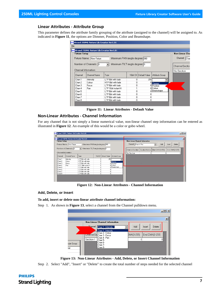#### <span id="page-8-0"></span>**Linear Attributes - Attribute Group**

This parameter defines the attribute family grouping of the attribute (assigned to the channel) will be assigned to. As indicated in **[Figure 11](#page-8-2)**, the options are Dimmer, Position, Color and Beamshape.

|                                                          | <mark>ww</mark> Strand 250ML Fixture Lib Creator Ver1.01 |                               |   |                          |                       |                |      |
|----------------------------------------------------------|----------------------------------------------------------|-------------------------------|---|--------------------------|-----------------------|----------------|------|
| <b>Fixture Setup</b>                                     |                                                          |                               |   |                          |                       | Non-Linear Cha |      |
|                                                          | Fixture Name: New Fixture                                | Maximum PAN angle degree: 000 |   |                          |                       | Channel:       | Char |
|                                                          | Number of Channels: 8                                    | Maximum TILT angle degree: 0  |   |                          |                       | ChannelSection |      |
|                                                          | Channel Infomation:                                      |                               |   |                          |                       | No Section     |      |
| Channel                                                  | Channel Name                                             | Type                          |   | 16bit CH   Default Value | Attribute Group       |                |      |
| Chan 1                                                   | Intensity                                                | LTP 8bit with fade            | n | 255                      |                       |                |      |
|                                                          | Colour                                                   | HTP 8bit with fade            |   |                          | Dimmer                |                |      |
|                                                          |                                                          |                               |   |                          |                       |                |      |
|                                                          | Focus                                                    | LTP 8bit with fade            | n |                          | <sup>0</sup> Position |                |      |
|                                                          | Pan                                                      | LTP 16bit instant H           |   |                          | n I Colour            |                |      |
|                                                          |                                                          | LTP 8bit with fade            | n |                          | ∩ Beamshape           |                |      |
|                                                          |                                                          | LTP 8bit with fade            |   |                          |                       |                |      |
| Chan 2<br>Chan 3<br>Chan 4<br>Chan 5<br>Chan 6<br>Chan 7 |                                                          | LTP 8bit with fade            | Ω | 0                        |                       |                |      |

**Figure 11: Linear Attributes - Default Value**

#### <span id="page-8-2"></span><span id="page-8-1"></span>**Non-Linear Attributes - Channel Information**

For any channel that is not simply a linear numerical value, non-linear channel step information can be entered as illustrated in **[Figure 12](#page-8-3)**. An example of this would be a color or gobo wheel.

|                                                            | <b>PROV</b> Strand 250ML Fixture Lib Creator Ver1.01 |                     |                              |                       |                       |                                |                      |                  |        |        |                |
|------------------------------------------------------------|------------------------------------------------------|---------------------|------------------------------|-----------------------|-----------------------|--------------------------------|----------------------|------------------|--------|--------|----------------|
| <b>Fixture Setup</b>                                       |                                                      |                     |                              |                       |                       | Non-Linear Channel Information |                      |                  |        |        |                |
| Maximum PAN angle degree: 000<br>Fixture Name: New Fixture |                                                      |                     |                              |                       | Channel: Chan 4 - Pan |                                | $\blacktriangledown$ | Add              | Insert | Delete |                |
|                                                            | Number of Channels: 8                                | $\mathbf{r}$        | Maximum TILT angle degree: 0 |                       |                       | ChannelSection                 | SectionName          | Start DMX(0-255) |        |        | End DMX(0-255) |
|                                                            | Channel Information:                                 |                     |                              |                       |                       | No Section                     | 0                    |                  |        | 0      | n              |
| Channel                                                    | Channel Name                                         | Type                | 16bit CH Default Value       | Attribute Group       |                       |                                |                      |                  |        |        |                |
| Chan 1                                                     | Intensity                                            | LTP 8bit with fade  | n.                           | 255                   |                       |                                |                      |                  |        |        |                |
| Chan 2                                                     | Colour                                               | HTP 8bit with fade  | 0                            | Dimmer                |                       |                                |                      |                  |        |        |                |
| Chan 3                                                     | Focus                                                | LTP 8bit with fade  | 0                            | <sup>0</sup> Position |                       |                                |                      |                  |        |        |                |
| Chan 4                                                     | Pan                                                  | LTP 16bit instant H |                              | 0 Colour              |                       |                                |                      |                  |        |        |                |
|                                                            |                                                      | LTP 8bit with fade  | $\mathbf{0}$                 | ∩Beamshape            |                       |                                |                      |                  |        |        |                |
|                                                            |                                                      | LTP 8bit with fade  | 0                            | 0                     |                       |                                |                      |                  |        |        |                |
|                                                            |                                                      |                     |                              | 0                     |                       |                                |                      |                  |        |        |                |
| Chan 5<br>Chan 6<br>Chan 7                                 |                                                      | LTP 8bit with fade  | 0                            |                       |                       |                                |                      |                  |        |        |                |

**Figure 12: Non-Linear Attributes - Channel Information**

#### <span id="page-8-3"></span>**Add, Delete, or Insert**

#### **To add, insert or delete non-linear attribute channel information:**

Step 1. As shown in **[Figure 13](#page-8-4)**, select a channel from the Channel pulldown menu.

|                   |                                                                                                                                                                                                                                   | $-12X$                                                                  |
|-------------------|-----------------------------------------------------------------------------------------------------------------------------------------------------------------------------------------------------------------------------------|-------------------------------------------------------------------------|
| oute Group<br>ner | <b>Non-Linear Channel Information</b><br>Channel: <mark>Chan 1 - Intensity ,</mark><br>Chan 1 - Intensity<br>Chan 2 - Colour<br>UnannelSe Chan 3 - Focus<br>Chan 4 - Pan<br>Section 1<br>Chan 5-<br>Chan 6-<br>Chan 7-<br>Chan 8- | $\mathbf{x}$<br>Add<br>Delete<br>Insert<br>End DMX(0-255)<br>DMX(0-255) |

**Figure 13: Non-Linear Attributes - Add, Delete, or Insert Channel Information**

<span id="page-8-4"></span>Step 2. Select "Add", "Insert" or "Delete" to create the total number of steps needed for the selected channel

**PHILIPS Strand Lighting**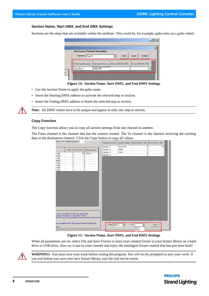#### **Section Name, Start DMX, and End DMX Settings**

Sections are the steps that are available within the attribute. This could be, for example, gobo slots on a gobo wheel.

|   | . .                                   |             |                  |        |                | $\Box$ D $\bm{x}$ |
|---|---------------------------------------|-------------|------------------|--------|----------------|-------------------|
|   | <b>Non-Linear Channel Information</b> |             |                  |        |                | $\vert x \vert$   |
|   | Channel:<br>Chan 5-                   |             | Add              | Insert | Delete         |                   |
|   | ChannelSection                        | SectionName | Start DMX(0-255) |        | End DMX(0-255) |                   |
|   | Section 1                             | Gobo Rt     |                  |        |                | 139               |
| P |                                       |             |                  |        |                |                   |



- Use the Section Name to apply the gobo name.
- Insert the Starting DMX address to activate the selected step or section.
- Insert the Ending DMX address to finish the selected step or section.



**Note:** All DMX values have to be unique and appear in only one step or section.

#### **Copy Function**

The Copy function allows you to copy all section settings from one channel to another.

The From channel is the channel that has the content created. The To channel is the channel receiving the existing data or the destination channel. Click the Copy button to copy all values.

| """""" """ angle acqueelle |               |                        |                                                                                                                                                                           | ChannelSection |                      | SectionName Start DMX(0-255) | End DMX(0-255) |
|----------------------------|---------------|------------------------|---------------------------------------------------------------------------------------------------------------------------------------------------------------------------|----------------|----------------------|------------------------------|----------------|
|                            |               |                        |                                                                                                                                                                           | Section 1      | Gobo Rt              | 0                            | 139            |
| <b>College</b>             |               | 16bit CH Default Value | Attribute Group                                                                                                                                                           | Section 2      | Prism                | $\mathbf{0}$                 | 0              |
| h fade                     | $\mathbf 0$   |                        | 255 Dimmer                                                                                                                                                                | Section 3      | Frost                | 0                            | 0              |
| th fade                    | 0             | 0                      |                                                                                                                                                                           | Section 4      |                      | 0                            | o              |
| h fade                     | 0             | 0                      |                                                                                                                                                                           |                |                      |                              |                |
| stant H                    | 1             | 0                      |                                                                                                                                                                           |                |                      |                              |                |
| h fade                     | 0             | 0                      |                                                                                                                                                                           |                |                      |                              |                |
| h fade                     | 0             | 0                      |                                                                                                                                                                           |                |                      |                              |                |
| h fade                     | $\mathbf 0$   | 0                      |                                                                                                                                                                           |                |                      |                              |                |
| h fade                     | 0             | $\overline{0}$         |                                                                                                                                                                           |                |                      |                              |                |
|                            | <b>Cardon</b> |                        |                                                                                                                                                                           |                |                      |                              |                |
|                            |               |                        |                                                                                                                                                                           |                |                      |                              |                |
|                            |               |                        |                                                                                                                                                                           |                |                      |                              |                |
|                            |               |                        |                                                                                                                                                                           |                |                      |                              |                |
|                            |               |                        |                                                                                                                                                                           |                |                      |                              |                |
|                            |               |                        |                                                                                                                                                                           |                |                      |                              |                |
|                            |               |                        |                                                                                                                                                                           |                |                      |                              |                |
|                            |               |                        |                                                                                                                                                                           |                |                      |                              |                |
|                            |               |                        |                                                                                                                                                                           |                |                      |                              |                |
|                            |               |                        |                                                                                                                                                                           |                |                      |                              |                |
|                            |               |                        |                                                                                                                                                                           |                |                      |                              |                |
|                            |               |                        |                                                                                                                                                                           |                |                      |                              |                |
|                            |               |                        |                                                                                                                                                                           |                |                      |                              |                |
|                            |               |                        |                                                                                                                                                                           |                |                      |                              |                |
|                            |               |                        |                                                                                                                                                                           |                | <b>College</b>       |                              |                |
|                            |               |                        |                                                                                                                                                                           |                |                      |                              |                |
|                            |               |                        |                                                                                                                                                                           |                |                      |                              |                |
|                            |               |                        |                                                                                                                                                                           |                |                      |                              |                |
|                            |               |                        | or L/Low manually after select the right attribute<br>it fade for Channels on "Logic type" section.<br>ibit CH" section.Put the identical channel number on this section. |                |                      |                              |                |
|                            |               |                        |                                                                                                                                                                           |                |                      |                              |                |
|                            |               |                        | you can define on the "Non-Linear Channel Information"by                                                                                                                  |                |                      |                              |                |
|                            |               |                        |                                                                                                                                                                           | From: Chan 3   | $\blacktriangledown$ | To:                          | Copy           |
| TFF.                       |               |                        |                                                                                                                                                                           |                |                      | Chan 1                       |                |
|                            |               |                        |                                                                                                                                                                           |                |                      | Chan 2                       |                |

**Figure 15: Section Name, Start DMX, and End DMX Settings**

When all parameters are set, select File and Save Fixture to store your created fixture in your fixture library on a hard drive or USB drive. Now try it out on your console and enjoy the intelligent fixture control that has just been built!



**WARNING!** You must save your work before exiting the program. *You will not be prompted to save your work*. If you exit before you save your new fixture library, you file will not be saved.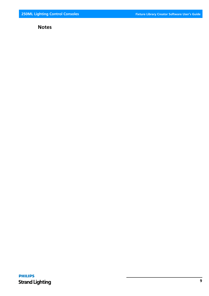### **Notes**